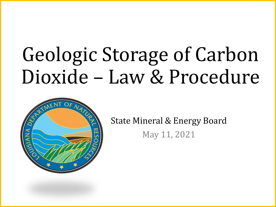# Geologic Storage of Carbon Dioxide – Law & Procedure



State Mineral & Energy Board May 11, 2021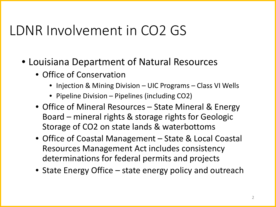#### LDNR Involvement in CO2 GS

- Louisiana Department of Natural Resources
	- Office of Conservation
		- Injection & Mining Division UIC Programs Class VI Wells
		- Pipeline Division Pipelines (including CO2)
	- Office of Mineral Resources State Mineral & Energy Board – mineral rights & storage rights for Geologic Storage of CO2 on state lands & waterbottoms
	- Office of Coastal Management State & Local Coastal Resources Management Act includes consistency determinations for federal permits and projects
	- State Energy Office state energy policy and outreach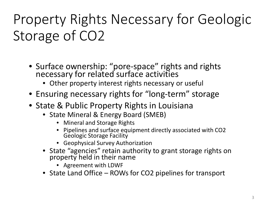## Property Rights Necessary for Geologic Storage of CO2

- Surface ownership: "pore-space" rights and rights necessary for related surface activities
	- Other property interest rights necessary or useful
- Ensuring necessary rights for "long-term" storage
- State & Public Property Rights in Louisiana
	- State Mineral & Energy Board (SMEB)
		- Mineral and Storage Rights
		- Pipelines and surface equipment directly associated with CO2 Geologic Storage Facility
		- Geophysical Survey Authorization
	- State "agencies" retain authority to grant storage rights on property held in their name
		- Agreement with LDWF
	- State Land Office ROWs for CO2 pipelines for transport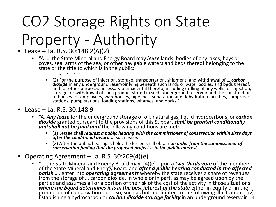# CO2 Storage Rights on State Property - Authority

- Lease La. R.S. 30:148.2(A)(2)
	- "A. … the State Mineral and Energy Board may *lease* lands, bodies of any lakes, bays or coves, sea, arms of the sea, or other navigable waters and beds thereof belonging to the state or the title to which is in the public:
		- \* \* \*
		- (2) For the purpose of injection, storage, transportation, shipment, and withdrawal of … *carbon*  and for other purposes necessary or incidental thereto, including drilling of any wells for injection, storage, or withdrawal of such product stored in such underground reservoir and the construction of houses for employees, warehouses, pipelines, separation and dehydration facilities, compressor stations, pump stations, loading stations, wharves, and docks."
- Lease La. R.S. 30:148.9
	- "A. *Any lease* for the underground storage of oil, natural gas, liquid hydrocarbons, or *carbon*  dioxide granted pursuant to the provisions of this Subpart *shall be granted conditionally*<br>and shall not be final until the following conditions are met:
		- (1) Lessee shall *request a public hearing with the commissioner of conservation within sixty days*<br>after the conditional award of such lease.
		- (2) After the public hearing is held, the lessee shall obtain *an order from the commissioner of conservation finding that the proposed project is in the public interest*.
- Operating Agreement La. R.S. 30:209(4)(e)
	- "… the State Mineral and Energy Board may: (4)(e) Upon a *two-thirds vote* of the members of the State Mineral and Energy Board and *after a public hearing conducted in the affected*<br>*parish ...,* enter into *operating agreements* whereby the state receives a share of revenues<br>from the storage of ... carbon dio parties and assumes all or a portion of the risk of the cost of the activity in those situations where the board determines it is in the best interest of the state either in equity or in the promotion of conservation to do so, such as but not limited to the following illustrations: (iv) Establishing a hydrocarbon or *carbon dioxide storage facility* in an underground reservoir. 4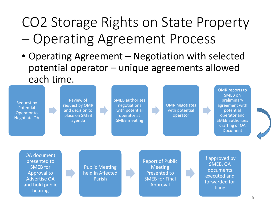#### CO2 Storage Rights on State Property – Operating Agreement Process

• Operating Agreement – Negotiation with selected potential operator – unique agreements allowed each time.

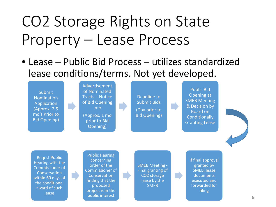# CO2 Storage Rights on State Property – Lease Process

• Lease – Public Bid Process – utilizes standardized lease conditions/terms. Not yet developed.

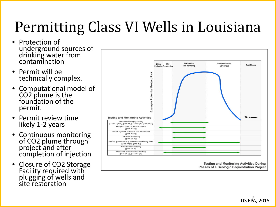## Permitting Class VI Wells in Louisiana

- Protection of underground sources of drinking water from contamination
- Permit will be technically complex.
- Computational model of CO2 plume is the foundation of the permit.
- Permit review time likely 1-2 years
- Continuous monitoring of CO2 plume through project and after completion of injection
- Closure of CO2 Storage Facility required with plugging of wells and site restoration



**Testing and Monitoring Activities During Phases of a Geologic Sequestration Project** 

US EPA, 2015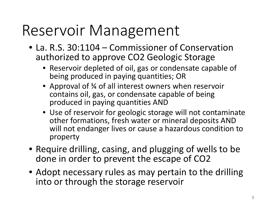## Reservoir Management

- La. R.S. 30:1104 Commissioner of Conservation authorized to approve CO2 Geologic Storage
	- Reservoir depleted of oil, gas or condensate capable of being produced in paying quantities; OR
	- Approval of 34 of all interest owners when reservoir contains oil, gas, or condensate capable of being produced in paying quantities AND
	- Use of reservoir for geologic storage will not contaminate other formations, fresh water or mineral deposits AND will not endanger lives or cause a hazardous condition to property
- Require drilling, casing, and plugging of wells to be done in order to prevent the escape of CO2
- Adopt necessary rules as may pertain to the drilling into or through the storage reservoir